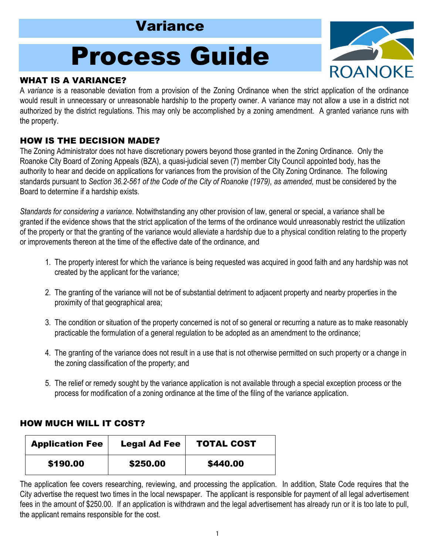# Variance

# Process Guide

# WHAT IS A VARIANCE?

**ROANOKE** 

A *variance* is a reasonable deviation from a provision of the Zoning Ordinance when the strict application of the ordinance would result in unnecessary or unreasonable hardship to the property owner. A variance may not allow a use in a district not authorized by the district regulations. This may only be accomplished by a zoning amendment. A granted variance runs with the property.

# HOW IS THE DECISION MADE?

The Zoning Administrator does not have discretionary powers beyond those granted in the Zoning Ordinance. Only the Roanoke City Board of Zoning Appeals (BZA), a quasi-judicial seven (7) member City Council appointed body, has the authority to hear and decide on applications for variances from the provision of the City Zoning Ordinance. The following standards pursuant to *Section 36.2-561 of the Code of the City of Roanoke (1979), as amended,* must be considered by the Board to determine if a hardship exists.

*Standards for considering a variance.* Notwithstanding any other provision of law, general or special, a variance shall be granted if the evidence shows that the strict application of the terms of the ordinance would unreasonably restrict the utilization of the property or that the granting of the variance would alleviate a hardship due to a physical condition relating to the property or improvements thereon at the time of the effective date of the ordinance, and

- 1. The property interest for which the variance is being requested was acquired in good faith and any hardship was not created by the applicant for the variance;
- 2. The granting of the variance will not be of substantial detriment to adjacent property and nearby properties in the proximity of that geographical area;
- 3. The condition or situation of the property concerned is not of so general or recurring a nature as to make reasonably practicable the formulation of a general regulation to be adopted as an amendment to the ordinance;
- 4. The granting of the variance does not result in a use that is not otherwise permitted on such property or a change in the zoning classification of the property; and
- 5. The relief or remedy sought by the variance application is not available through a special exception process or the process for modification of a zoning ordinance at the time of the filing of the variance application.

### HOW MUCH WILL IT COST?

| <b>Application Fee</b> | <b>Legal Ad Fee</b> | <b>TOTAL COST</b> |
|------------------------|---------------------|-------------------|
| \$190.00               | \$250.00            | \$440.00          |

The application fee covers researching, reviewing, and processing the application. In addition, State Code requires that the City advertise the request two times in the local newspaper. The applicant is responsible for payment of all legal advertisement fees in the amount of \$250.00. If an application is withdrawn and the legal advertisement has already run or it is too late to pull, the applicant remains responsible for the cost.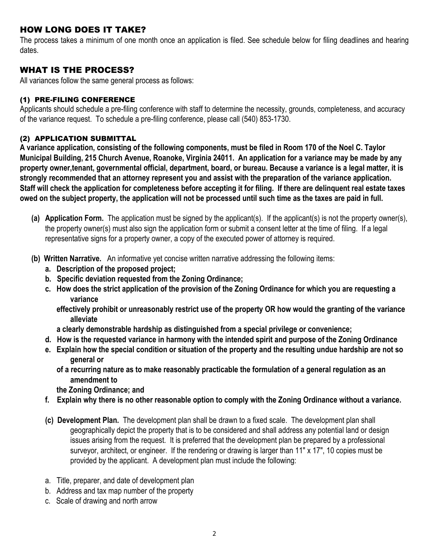#### HOW LONG DOES IT TAKE?

The process takes a minimum of one month once an application is filed. See schedule below for filing deadlines and hearing dates.

#### WHAT IS THE PROCESS?

All variances follow the same general process as follows:

#### (1) PRE-FILING CONFERENCE

Applicants should schedule a pre-filing conference with staff to determine the necessity, grounds, completeness, and accuracy of the variance request. To schedule a pre-filing conference, please call (540) 853-1730.

#### (2) APPLICATION SUBMITTAL

**A variance application, consisting of the following components, must be filed in Room 170 of the Noel C. Taylor Municipal Building, 215 Church Avenue, Roanoke, Virginia 24011. An application for a variance may be made by any property owner,tenant, governmental official, department, board, or bureau. Because a variance is a legal matter, it is strongly recommended that an attorney represent you and assist with the preparation of the variance application. Staff will check the application for completeness before accepting it for filing. If there are delinquent real estate taxes owed on the subject property, the application will not be processed until such time as the taxes are paid in full.** 

- **(a) Application Form.** The application must be signed by the applicant(s). If the applicant(s) is not the property owner(s), the property owner(s) must also sign the application form or submit a consent letter at the time of filing. If a legal representative signs for a property owner, a copy of the executed power of attorney is required.
- **(b) Written Narrative.** An informative yet concise written narrative addressing the following items:
	- **a. Description of the proposed project;**
	- **b. Specific deviation requested from the Zoning Ordinance;**
	- **c. How does the strict application of the provision of the Zoning Ordinance for which you are requesting a variance**

 **effectively prohibit or unreasonably restrict use of the property OR how would the granting of the variance alleviate** 

 **a clearly demonstrable hardship as distinguished from a special privilege or convenience;** 

- **d. How is the requested variance in harmony with the intended spirit and purpose of the Zoning Ordinance**
- **e. Explain how the special condition or situation of the property and the resulting undue hardship are not so general or** 
	- **of a recurring nature as to make reasonably practicable the formulation of a general regulation as an amendment to**

 **the Zoning Ordinance; and** 

- **f. Explain why there is no other reasonable option to comply with the Zoning Ordinance without a variance.**
- **(c) Development Plan.** The development plan shall be drawn to a fixed scale. The development plan shall geographically depict the property that is to be considered and shall address any potential land or design issues arising from the request. It is preferred that the development plan be prepared by a professional surveyor, architect, or engineer. If the rendering or drawing is larger than 11" x 17", 10 copies must be provided by the applicant. A development plan must include the following:
- a. Title, preparer, and date of development plan
- b. Address and tax map number of the property
- c. Scale of drawing and north arrow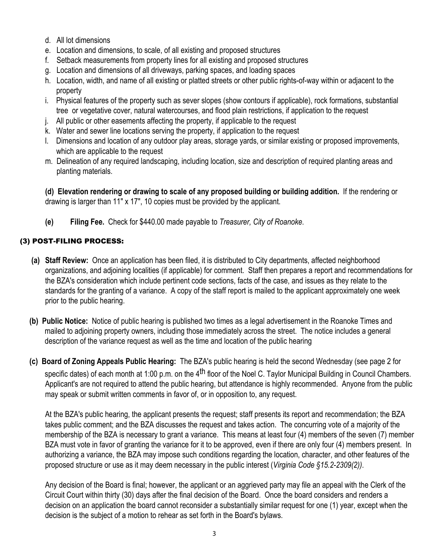- d. All lot dimensions
- e. Location and dimensions, to scale, of all existing and proposed structures
- f. Setback measurements from property lines for all existing and proposed structures
- g. Location and dimensions of all driveways, parking spaces, and loading spaces
- h. Location, width, and name of all existing or platted streets or other public rights-of-way within or adjacent to the property
- i. Physical features of the property such as sever slopes (show contours if applicable), rock formations, substantial tree or vegetative cover, natural watercourses, and flood plain restrictions, if application to the request
- j. All public or other easements affecting the property, if applicable to the request
- k. Water and sewer line locations serving the property, if application to the request
- l. Dimensions and location of any outdoor play areas, storage yards, or similar existing or proposed improvements, which are applicable to the request
- m. Delineation of any required landscaping, including location, size and description of required planting areas and planting materials.

**(d) Elevation rendering or drawing to scale of any proposed building or building addition.** If the rendering or drawing is larger than 11" x 17", 10 copies must be provided by the applicant.

 **(e) Filing Fee.** Check for \$440.00 made payable to *Treasurer, City of Roanoke*.

#### (3) POST-FILING PROCESS:

- **(a) Staff Review:** Once an application has been filed, it is distributed to City departments, affected neighborhood organizations, and adjoining localities (if applicable) for comment. Staff then prepares a report and recommendations for the BZA's consideration which include pertinent code sections, facts of the case, and issues as they relate to the standards for the granting of a variance. A copy of the staff report is mailed to the applicant approximately one week prior to the public hearing.
- **(b) Public Notice:** Notice of public hearing is published two times as a legal advertisement in the Roanoke Times and mailed to adjoining property owners, including those immediately across the street. The notice includes a general description of the variance request as well as the time and location of the public hearing
- **(c) Board of Zoning Appeals Public Hearing:** The BZA's public hearing is held the second Wednesday (see page 2 for specific dates) of each month at 1:00 p.m. on the 4<sup>th</sup> floor of the Noel C. Taylor Municipal Building in Council Chambers. Applicant's are not required to attend the public hearing, but attendance is highly recommended. Anyone from the public may speak or submit written comments in favor of, or in opposition to, any request.

At the BZA's public hearing, the applicant presents the request; staff presents its report and recommendation; the BZA takes public comment; and the BZA discusses the request and takes action. The concurring vote of a majority of the membership of the BZA is necessary to grant a variance. This means at least four (4) members of the seven (7) member BZA must vote in favor of granting the variance for it to be approved, even if there are only four (4) members present. In authorizing a variance, the BZA may impose such conditions regarding the location, character, and other features of the proposed structure or use as it may deem necessary in the public interest (*Virginia Code §15.2-2309(2))*.

Any decision of the Board is final; however, the applicant or an aggrieved party may file an appeal with the Clerk of the Circuit Court within thirty (30) days after the final decision of the Board. Once the board considers and renders a decision on an application the board cannot reconsider a substantially similar request for one (1) year, except when the decision is the subject of a motion to rehear as set forth in the Board's bylaws.